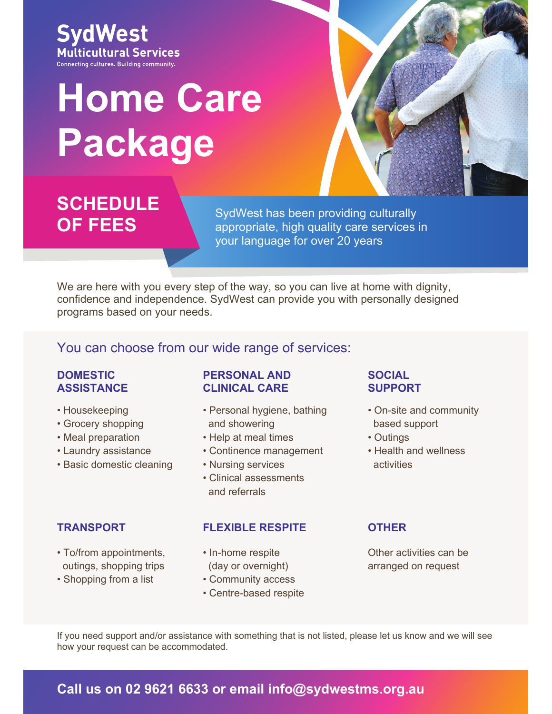

# **Home Care Package**



## **SCHEDULE OF FEES**

SydWest has been providing culturally appropriate, high quality care services in your language for over 20 years

We are here with you every step of the way, so you can live at home with dignity, confidence and independence. SydWest can provide you with personally designed programs based on your needs.

#### You can choose from our wide range of services:

#### **DOMESTIC ASSISTANCE**

- Housekeeping
- Grocery shopping
- Meal preparation
- Laundry assistance
- Basic domestic cleaning

- To/from appointments, outings, shopping trips
- Shopping from a list

#### **PERSONAL AND CLINICAL CARE**

- Personal hygiene, bathing and showering
- Help at meal times
- Continence management
- Nursing services
- Clinical assessments and referrals

#### **TRANSPORT FLEXIBLE RESPITE OTHER**

- In-home respite (day or overnight)
- Community access
- Centre-based respite

#### **SOCIAL SUPPORT**

- On-site and community based support
- Outings
- Health and wellness activities

Other activities can be arranged on request

If you need support and/or assistance with something that is not listed, please let us know and we will see how your request can be accommodated.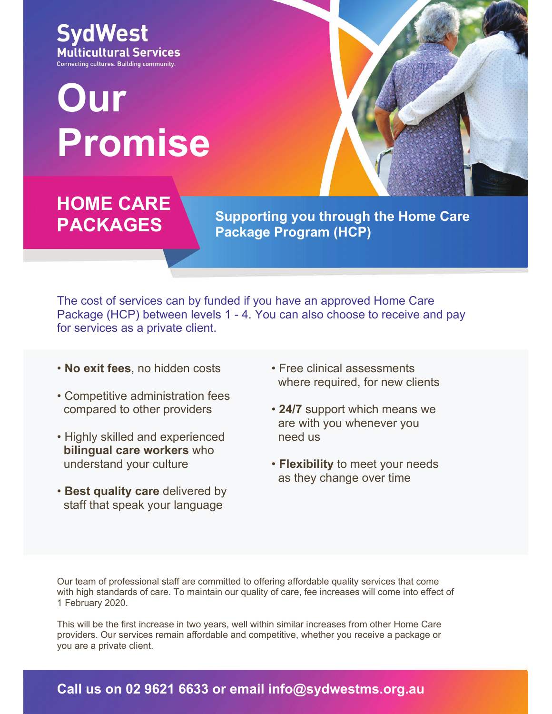**SydWest Multicultural Services** Connecting cultures. Building community.

# **Our Promise**



## **HOME CARE PACKAGES**

**Supporting you through the Home Care Package Program (HCP)** 

The cost of services can by funded if you have an approved Home Care Package (HCP) between levels 1 - 4. You can also choose to receive and pay for services as a private client.

- **No exit fees**, no hidden costs
- Competitive administration fees compared to other providers
- Highly skilled and experienced **bilingual care workers** who understand your culture
- **Best quality care** delivered by staff that speak your language
- Free clinical assessments where required, for new clients
- **24/7** support which means we are with you whenever you need us
- **Flexibility** to meet your needs as they change over time

Our team of professional staff are committed to offering affordable quality services that come with high standards of care. To maintain our quality of care, fee increases will come into effect of 1 February 2020.

This will be the first increase in two years, well within similar increases from other Home Care providers. Our services remain affordable and competitive, whether you receive a package or you are a private client.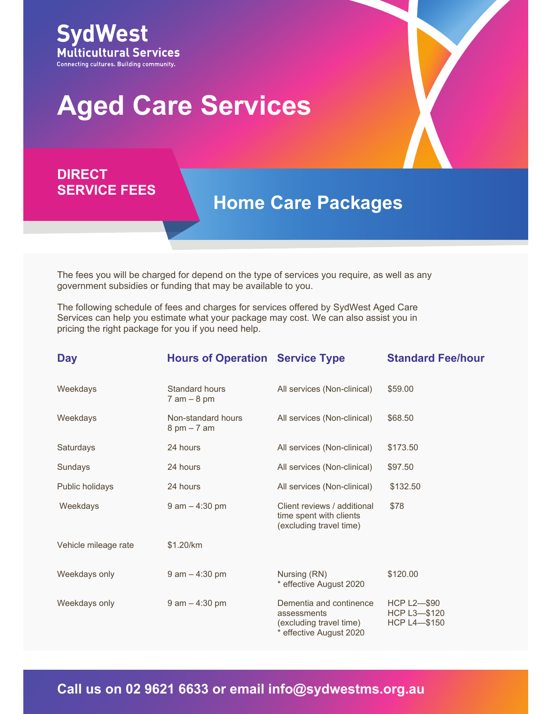

# **Aged Care Services**

#### **DIRECT SERVICE FEES**

### **Home Care Packages**

The fees you will be charged for depend on the type of services you require, as well as any government subsidies or funding that may be available to you.

The following schedule of fees and charges for services offered by SydWest Aged Care Services can help you estimate what your package may cost. We can also assist you in pricing the right package for you if you need help.

| <b>Day</b>           | <b>Hours of Operation Service Type</b>              |                                                                                              | <b>Standard Fee/hour</b>                              |
|----------------------|-----------------------------------------------------|----------------------------------------------------------------------------------------------|-------------------------------------------------------|
| Weekdays             | Standard hours<br>$7$ am $-$ 8 pm                   | All services (Non-clinical)                                                                  | \$59.00                                               |
| Weekdays             | Non-standard hours<br>$8 \text{ pm} - 7 \text{ am}$ | All services (Non-clinical)                                                                  | \$68.50                                               |
| Saturdays            | 24 hours                                            | All services (Non-clinical)                                                                  | \$173.50                                              |
| Sundays              | 24 hours                                            | All services (Non-clinical)                                                                  | \$97.50                                               |
| Public holidays      | 24 hours                                            | All services (Non-clinical)                                                                  | \$132.50                                              |
| Weekdays             | $9$ am $-$ 4:30 pm                                  | Client reviews / additional<br>time spent with clients<br>(excluding travel time)            | \$78                                                  |
| Vehicle mileage rate | \$1.20/km                                           |                                                                                              |                                                       |
| Weekdays only        | $9$ am $-$ 4:30 pm                                  | Nursing (RN)<br>* effective August 2020                                                      | \$120.00                                              |
| Weekdays only        | $9$ am $-$ 4:30 pm                                  | Dementia and continence<br>assessments<br>(excluding travel time)<br>* effective August 2020 | HCP $L2$ —\$90<br>HCP L3-\$120<br><b>HCP L4-\$150</b> |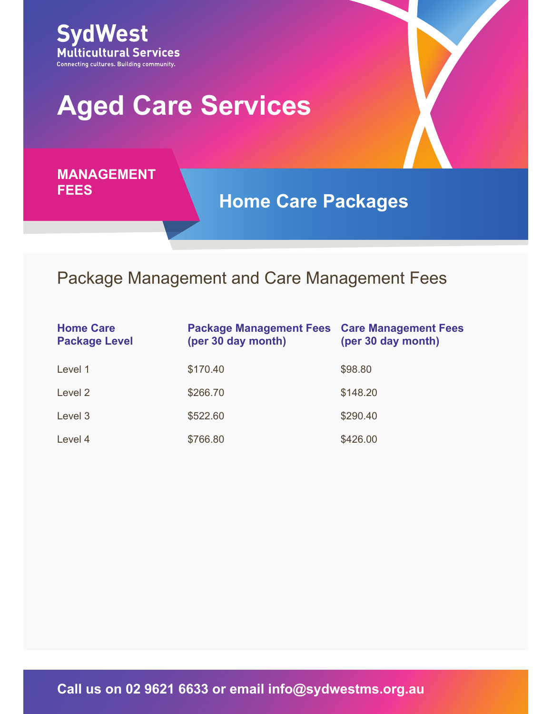

# **Aged Care Services**

**MANAGEMENT FEES**

**Home Care Packages**

### Package Management and Care Management Fees

| <b>Home Care</b><br><b>Package Level</b> | <b>Package Management Fees Care Management Fees</b><br>(per 30 day month) | (per 30 day month) |
|------------------------------------------|---------------------------------------------------------------------------|--------------------|
| Level 1                                  | \$170.40                                                                  | \$98.80            |
| Level 2                                  | \$266.70                                                                  | \$148.20           |
| Level 3                                  | \$522.60                                                                  | \$290.40           |
| Level 4                                  | \$766.80                                                                  | \$426.00           |